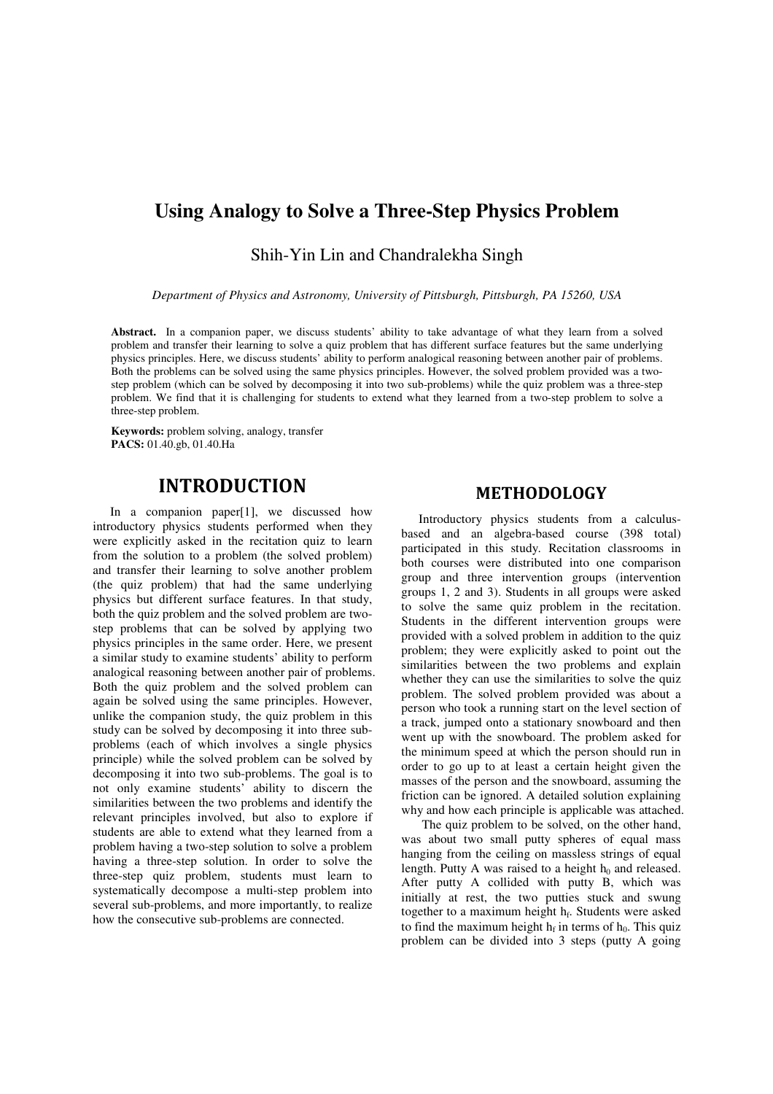# **Using Analogy to Solve a Three-Step Physics Problem**

Shih-Yin Lin and Chandralekha Singh

*Department of Physics and Astronomy, University of Pittsburgh, Pittsburgh, PA 15260, USA* 

**Abstract.** In a companion paper, we discuss students' ability to take advantage of what they learn from a solved problem and transfer their learning to solve a quiz problem that has different surface features but the same underlying physics principles. Here, we discuss students' ability to perform analogical reasoning between another pair of problems. Both the problems can be solved using the same physics principles. However, the solved problem provided was a twostep problem (which can be solved by decomposing it into two sub-problems) while the quiz problem was a three-step problem. We find that it is challenging for students to extend what they learned from a two-step problem to solve a three-step problem.

**Keywords:** problem solving, analogy, transfer **PACS:** 01.40.gb, 01.40.Ha

## **INTRODUCTION**

In a companion paper[1], we discussed how introductory physics students performed when they were explicitly asked in the recitation quiz to learn from the solution to a problem (the solved problem) and transfer their learning to solve another problem (the quiz problem) that had the same underlying physics but different surface features. In that study, both the quiz problem and the solved problem are twostep problems that can be solved by applying two physics principles in the same order. Here, we present a similar study to examine students' ability to perform analogical reasoning between another pair of problems. Both the quiz problem and the solved problem can again be solved using the same principles. However, unlike the companion study, the quiz problem in this study can be solved by decomposing it into three subproblems (each of which involves a single physics principle) while the solved problem can be solved by decomposing it into two sub-problems. The goal is to not only examine students' ability to discern the similarities between the two problems and identify the relevant principles involved, but also to explore if students are able to extend what they learned from a problem having a two-step solution to solve a problem having a three-step solution. In order to solve the three-step quiz problem, students must learn to systematically decompose a multi-step problem into several sub-problems, and more importantly, to realize how the consecutive sub-problems are connected.

## **METHODOLOGY**

Introductory physics students from a calculusbased and an algebra-based course (398 total) participated in this study. Recitation classrooms in both courses were distributed into one comparison group and three intervention groups (intervention groups 1, 2 and 3). Students in all groups were asked to solve the same quiz problem in the recitation. Students in the different intervention groups were provided with a solved problem in addition to the quiz problem; they were explicitly asked to point out the similarities between the two problems and explain whether they can use the similarities to solve the quiz problem. The solved problem provided was about a person who took a running start on the level section of a track, jumped onto a stationary snowboard and then went up with the snowboard. The problem asked for the minimum speed at which the person should run in order to go up to at least a certain height given the masses of the person and the snowboard, assuming the friction can be ignored. A detailed solution explaining why and how each principle is applicable was attached.

 The quiz problem to be solved, on the other hand, was about two small putty spheres of equal mass hanging from the ceiling on massless strings of equal length. Putty A was raised to a height  $h_0$  and released. After putty A collided with putty B, which was initially at rest, the two putties stuck and swung together to a maximum height h<sub>f</sub>. Students were asked to find the maximum height  $h_f$  in terms of  $h_0$ . This quiz problem can be divided into 3 steps (putty A going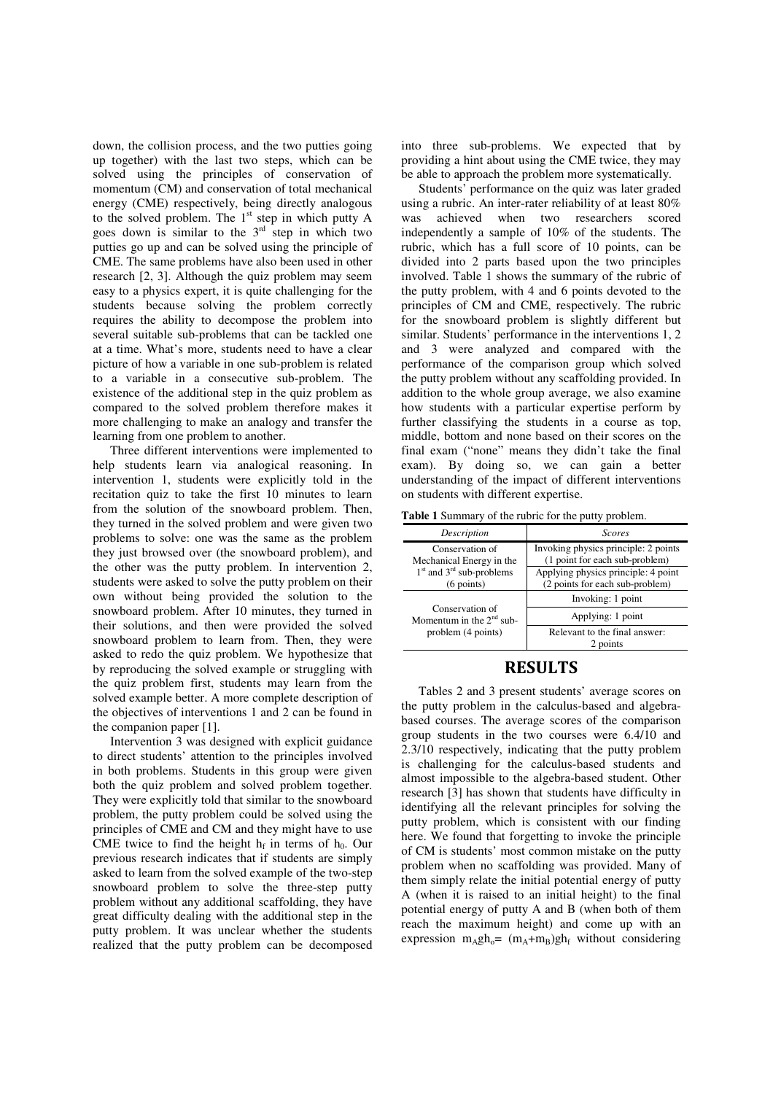down, the collision process, and the two putties going up together) with the last two steps, which can be solved using the principles of conservation of momentum (CM) and conservation of total mechanical energy (CME) respectively, being directly analogous to the solved problem. The 1<sup>st</sup> step in which putty A goes down is similar to the  $3<sup>rd</sup>$  step in which two putties go up and can be solved using the principle of CME. The same problems have also been used in other research [2, 3]. Although the quiz problem may seem easy to a physics expert, it is quite challenging for the students because solving the problem correctly requires the ability to decompose the problem into several suitable sub-problems that can be tackled one at a time. What's more, students need to have a clear picture of how a variable in one sub-problem is related to a variable in a consecutive sub-problem. The existence of the additional step in the quiz problem as compared to the solved problem therefore makes it more challenging to make an analogy and transfer the learning from one problem to another.

Three different interventions were implemented to help students learn via analogical reasoning. In intervention 1, students were explicitly told in the recitation quiz to take the first 10 minutes to learn from the solution of the snowboard problem. Then, they turned in the solved problem and were given two problems to solve: one was the same as the problem they just browsed over (the snowboard problem), and the other was the putty problem. In intervention 2, students were asked to solve the putty problem on their own without being provided the solution to the snowboard problem. After 10 minutes, they turned in their solutions, and then were provided the solved snowboard problem to learn from. Then, they were asked to redo the quiz problem. We hypothesize that by reproducing the solved example or struggling with the quiz problem first, students may learn from the solved example better. A more complete description of the objectives of interventions 1 and 2 can be found in the companion paper [1].

Intervention 3 was designed with explicit guidance to direct students' attention to the principles involved in both problems. Students in this group were given both the quiz problem and solved problem together. They were explicitly told that similar to the snowboard problem, the putty problem could be solved using the principles of CME and CM and they might have to use CME twice to find the height  $h_f$  in terms of  $h_0$ . Our previous research indicates that if students are simply asked to learn from the solved example of the two-step snowboard problem to solve the three-step putty problem without any additional scaffolding, they have great difficulty dealing with the additional step in the putty problem. It was unclear whether the students realized that the putty problem can be decomposed

into three sub-problems. We expected that by providing a hint about using the CME twice, they may be able to approach the problem more systematically.

Students' performance on the quiz was later graded using a rubric. An inter-rater reliability of at least 80% was achieved when two researchers scored independently a sample of 10% of the students. The rubric, which has a full score of 10 points, can be divided into 2 parts based upon the two principles involved. Table 1 shows the summary of the rubric of the putty problem, with 4 and 6 points devoted to the principles of CM and CME, respectively. The rubric for the snowboard problem is slightly different but similar. Students' performance in the interventions 1, 2 and 3 were analyzed and compared with the performance of the comparison group which solved the putty problem without any scaffolding provided. In addition to the whole group average, we also examine how students with a particular expertise perform by further classifying the students in a course as top, middle, bottom and none based on their scores on the final exam ("none" means they didn't take the final exam). By doing so, we can gain a better understanding of the impact of different interventions on students with different expertise.

**Table 1** Summary of the rubric for the putty problem.

| Description                                                         | Scores                                                                 |  |
|---------------------------------------------------------------------|------------------------------------------------------------------------|--|
| Conservation of<br>Mechanical Energy in the                         | Invoking physics principle: 2 points<br>(1 point for each sub-problem) |  |
| $1st$ and $3rd$ sub-problems<br>$(6$ points)                        | Applying physics principle: 4 point<br>(2 points for each sub-problem) |  |
| Conservation of<br>Momentum in the $2nd$ sub-<br>problem (4 points) | Invoking: 1 point                                                      |  |
|                                                                     | Applying: 1 point                                                      |  |
|                                                                     | Relevant to the final answer:<br>2 points                              |  |

#### **RESULTS**

Tables 2 and 3 present students' average scores on the putty problem in the calculus-based and algebrabased courses. The average scores of the comparison group students in the two courses were 6.4/10 and 2.3/10 respectively, indicating that the putty problem is challenging for the calculus-based students and almost impossible to the algebra-based student. Other research [3] has shown that students have difficulty in identifying all the relevant principles for solving the putty problem, which is consistent with our finding here. We found that forgetting to invoke the principle of CM is students' most common mistake on the putty problem when no scaffolding was provided. Many of them simply relate the initial potential energy of putty A (when it is raised to an initial height) to the final potential energy of putty A and B (when both of them reach the maximum height) and come up with an expression  $m_A gh_o = (m_A + m_B)gh_f$  without considering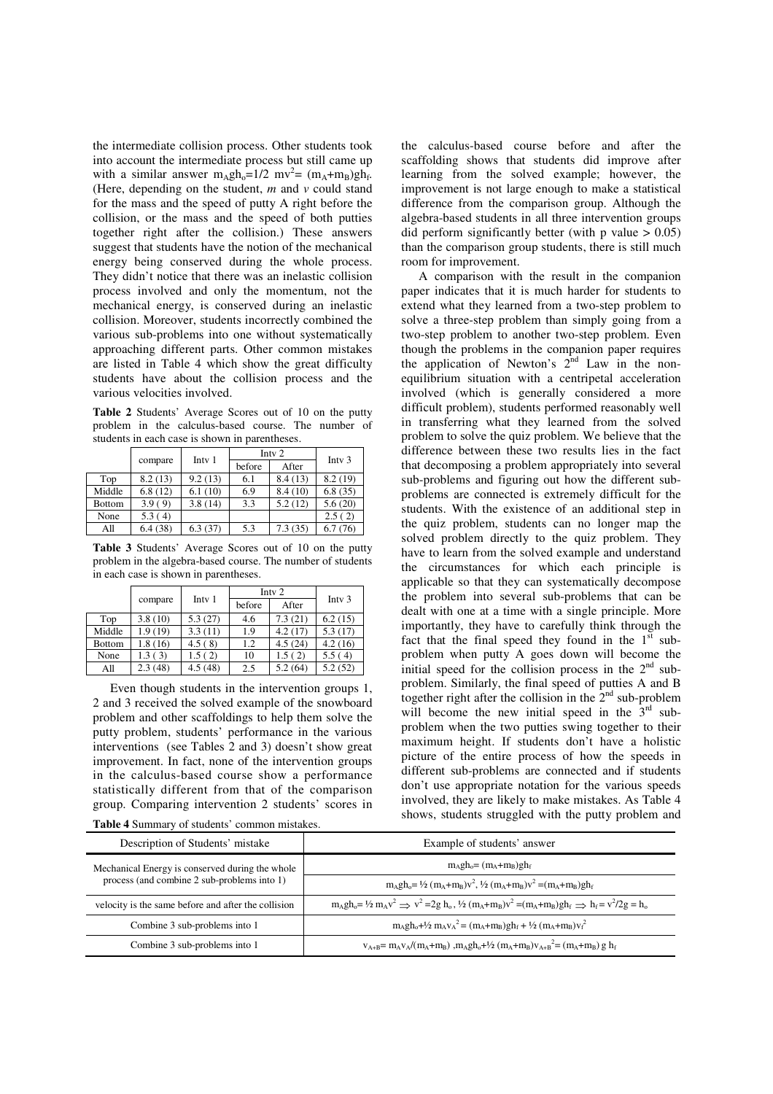the intermediate collision process. Other students took into account the intermediate process but still came up with a similar answer  $m_A gh_o=1/2$  mv<sup>2</sup> =  $(m_A+m_B)gh_f$ . (Here, depending on the student, *m* and *v* could stand for the mass and the speed of putty A right before the collision, or the mass and the speed of both putties together right after the collision.) These answers suggest that students have the notion of the mechanical energy being conserved during the whole process. They didn't notice that there was an inelastic collision process involved and only the momentum, not the mechanical energy, is conserved during an inelastic collision. Moreover, students incorrectly combined the various sub-problems into one without systematically approaching different parts. Other common mistakes are listed in Table 4 which show the great difficulty students have about the collision process and the various velocities involved.

**Table 2** Students' Average Scores out of 10 on the putty problem in the calculus-based course. The number of students in each case is shown in parentheses.

|               |         | Inty $2$          |        |         |          |
|---------------|---------|-------------------|--------|---------|----------|
|               | compare | Intv <sub>1</sub> | before | After   | Inty $3$ |
| Top           | 8.2(13) | 9.2(13)           | 6.1    | 8.4(13) | 8.2(19)  |
| Middle        | 6.8(12) | 6.1(10)           | 6.9    | 8.4(10) | 6.8(35)  |
| <b>Bottom</b> | 3.9(9)  | 3.8(14)           | 3.3    | 5.2(12) | 5.6(20)  |
| None          | 5.3(4)  |                   |        |         | 2.5(2)   |
| All           | 6.4(38) | 6.3(37)           | 5.3    | 7.3(35) | 6.7(76)  |

**Table 3** Students' Average Scores out of 10 on the putty problem in the algebra-based course. The number of students in each case is shown in parentheses.

|               |         | Intv <sub>2</sub> |        |         |          |
|---------------|---------|-------------------|--------|---------|----------|
|               | compare | Intv <sub>1</sub> | before | After   | Inty $3$ |
| Top           | 3.8(10) | 5.3(27)           | 4.6    | 7.3(21) | 6.2(15)  |
| Middle        | 1.9(19) | 3.3(11)           | 1.9    | 4.2(17) | 5.3(17)  |
| <b>Bottom</b> | 1.8(16) | 4.5(8)            | 1.2    | 4.5(24) | 4.2(16)  |
| None          | 1.3(3)  | 1.5(2)            | 10     | 1.5(2)  | 5.5(4)   |
| All           | 2.3(48) | 4.5(48)           | 2.5    | 5.2(64) | 5.2(52)  |

Even though students in the intervention groups 1, 2 and 3 received the solved example of the snowboard problem and other scaffoldings to help them solve the putty problem, students' performance in the various interventions (see Tables 2 and 3) doesn't show great improvement. In fact, none of the intervention groups in the calculus-based course show a performance statistically different from that of the comparison group. Comparing intervention 2 students' scores in

**Table 4** Summary of students' common mistakes.

the calculus-based course before and after the scaffolding shows that students did improve after learning from the solved example; however, the improvement is not large enough to make a statistical difference from the comparison group. Although the algebra-based students in all three intervention groups did perform significantly better (with p value  $> 0.05$ ) than the comparison group students, there is still much room for improvement.

A comparison with the result in the companion paper indicates that it is much harder for students to extend what they learned from a two-step problem to solve a three-step problem than simply going from a two-step problem to another two-step problem. Even though the problems in the companion paper requires the application of Newton's  $2^{nd}$  Law in the nonequilibrium situation with a centripetal acceleration involved (which is generally considered a more difficult problem), students performed reasonably well in transferring what they learned from the solved problem to solve the quiz problem. We believe that the difference between these two results lies in the fact that decomposing a problem appropriately into several sub-problems and figuring out how the different subproblems are connected is extremely difficult for the students. With the existence of an additional step in the quiz problem, students can no longer map the solved problem directly to the quiz problem. They have to learn from the solved example and understand the circumstances for which each principle is applicable so that they can systematically decompose the problem into several sub-problems that can be dealt with one at a time with a single principle. More importantly, they have to carefully think through the fact that the final speed they found in the  $1<sup>st</sup>$  subproblem when putty A goes down will become the initial speed for the collision process in the  $2<sup>nd</sup>$  subproblem. Similarly, the final speed of putties A and B together right after the collision in the  $2<sup>nd</sup>$  sub-problem will become the new initial speed in the  $3<sup>rd</sup>$  subproblem when the two putties swing together to their maximum height. If students don't have a holistic picture of the entire process of how the speeds in different sub-problems are connected and if students don't use appropriate notation for the various speeds involved, they are likely to make mistakes. As Table 4 shows, students struggled with the putty problem and

| Description of Students' mistake                                                                                                      | Example of students' answer                                                                                                         |  |
|---------------------------------------------------------------------------------------------------------------------------------------|-------------------------------------------------------------------------------------------------------------------------------------|--|
| Mechanical Energy is conserved during the whole<br>process (and combine 2 sub-problems into 1)                                        | $m_A gh_o = (m_A + m_B)gh_f$                                                                                                        |  |
|                                                                                                                                       | $m_A gh_0 = \frac{1}{2} (m_A + m_B)v^2$ , $\frac{1}{2} (m_A + m_B)v^2 = (m_A + m_B)gh_f$                                            |  |
| velocity is the same before and after the collision                                                                                   | $m_A gh_0 = \frac{1}{2} m_A v^2 \implies v^2 = 2g h_0$ , $\frac{1}{2} (m_A + m_B)v^2 = (m_A + m_B)gh_f \implies h_f = v^2/2g = h_0$ |  |
| Combine 3 sub-problems into 1                                                                                                         | $m_A gh_0 + \frac{1}{2} m_A v_A^2 = (m_A + m_B) gh_f + \frac{1}{2} (m_A + m_B) v_f^2$                                               |  |
| $v_{A+B} = m_A v_A/(m_A + m_B)$ , $m_A gh_o + \frac{1}{2} (m_A + m_B) v_{A+B}^2 = (m_A + m_B) g h_f$<br>Combine 3 sub-problems into 1 |                                                                                                                                     |  |